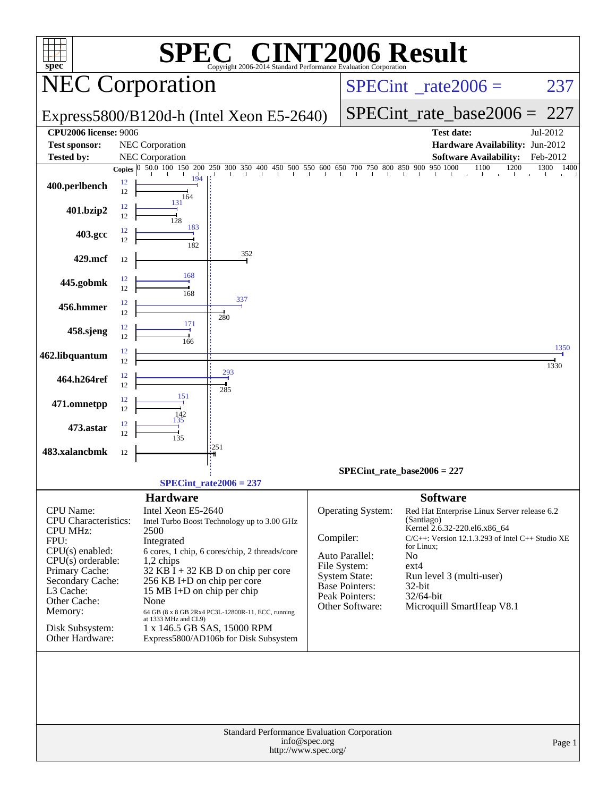| <b>EC® CINT2006 Result</b><br>SPI                    |          |                                    |                                                                      |                                                                 |                                                                                                                                                                           |                                          |                                                       |              |  |  |
|------------------------------------------------------|----------|------------------------------------|----------------------------------------------------------------------|-----------------------------------------------------------------|---------------------------------------------------------------------------------------------------------------------------------------------------------------------------|------------------------------------------|-------------------------------------------------------|--------------|--|--|
| spec <sup>®</sup><br><b>NEC Corporation</b>          |          |                                    |                                                                      | Copyright 2006-2014 Standard Performance Evaluation Corporation |                                                                                                                                                                           | $SPECint^{\circ}$ <sub>_rate2006</sub> = | 237                                                   |              |  |  |
| Express5800/B120d-h (Intel Xeon E5-2640)             |          |                                    |                                                                      |                                                                 |                                                                                                                                                                           | $SPECint_rate\_base2006 =$               | 227                                                   |              |  |  |
| <b>CPU2006 license: 9006</b><br><b>Test sponsor:</b> |          | NEC Corporation                    |                                                                      |                                                                 |                                                                                                                                                                           |                                          | <b>Test date:</b><br>Hardware Availability: Jun-2012  | Jul-2012     |  |  |
| <b>Tested by:</b>                                    |          | <b>NEC Corporation</b>             |                                                                      |                                                                 |                                                                                                                                                                           |                                          | <b>Software Availability:</b>                         | Feb-2012     |  |  |
|                                                      |          |                                    |                                                                      |                                                                 | <b>Copies</b> $\begin{bmatrix} 0 & 50.0 & 100 & 150 & 200 & 250 & 300 & 350 & 400 & 450 & 500 & 550 & 600 & 650 & 700 & 750 & 800 & 850 & 900 & 950 & 1000 \end{bmatrix}$ |                                          | 1100<br>1200<br>-T<br>and the company                 | 1300<br>1400 |  |  |
| 400.perlbench                                        | 12<br>12 | 194<br>164<br>131                  |                                                                      |                                                                 |                                                                                                                                                                           |                                          |                                                       |              |  |  |
| 401.bzip2                                            | 12<br>12 | 128<br>183                         |                                                                      |                                                                 |                                                                                                                                                                           |                                          |                                                       |              |  |  |
| 403.gcc                                              | 12<br>12 | 182                                |                                                                      |                                                                 |                                                                                                                                                                           |                                          |                                                       |              |  |  |
| 429.mcf                                              | 12       |                                    | 352                                                                  |                                                                 |                                                                                                                                                                           |                                          |                                                       |              |  |  |
| 445.gobmk                                            | 12<br>12 | 168<br>168                         |                                                                      |                                                                 |                                                                                                                                                                           |                                          |                                                       |              |  |  |
| 456.hmmer                                            | 12<br>12 |                                    | 337<br>280                                                           |                                                                 |                                                                                                                                                                           |                                          |                                                       |              |  |  |
| 458.sjeng                                            | 12<br>12 | 171<br>166                         |                                                                      |                                                                 |                                                                                                                                                                           |                                          |                                                       |              |  |  |
| 462.libquantum                                       | 12<br>12 |                                    |                                                                      |                                                                 |                                                                                                                                                                           |                                          |                                                       | 1350<br>1330 |  |  |
| 464.h264ref                                          | 12<br>12 |                                    | 293<br>285                                                           |                                                                 |                                                                                                                                                                           |                                          |                                                       |              |  |  |
| 471.omnetpp                                          | 12<br>12 | 151<br>142                         |                                                                      |                                                                 |                                                                                                                                                                           |                                          |                                                       |              |  |  |
| 473.astar                                            | 12<br>12 | 135<br>135                         |                                                                      |                                                                 |                                                                                                                                                                           |                                          |                                                       |              |  |  |
| 483.xalancbmk                                        | 12       |                                    | '251                                                                 |                                                                 |                                                                                                                                                                           |                                          |                                                       |              |  |  |
|                                                      |          |                                    |                                                                      |                                                                 | $SPECint_rate_base2006 = 227$                                                                                                                                             |                                          |                                                       |              |  |  |
|                                                      |          |                                    | $SPECint rate2006 = 237$                                             |                                                                 |                                                                                                                                                                           |                                          |                                                       |              |  |  |
|                                                      |          | <b>Hardware</b>                    |                                                                      |                                                                 |                                                                                                                                                                           | <b>Software</b>                          |                                                       |              |  |  |
| CPU Name:                                            |          | Intel Xeon E5-2640                 |                                                                      |                                                                 | Operating System:                                                                                                                                                         |                                          | Red Hat Enterprise Linux Server release 6.2           |              |  |  |
| CPU Characteristics:<br><b>CPU MHz:</b>              |          | 2500                               | Intel Turbo Boost Technology up to 3.00 GHz                          |                                                                 |                                                                                                                                                                           | (Santiago)                               | Kernel 2.6.32-220.el6.x86_64                          |              |  |  |
| FPU:                                                 |          | Integrated                         |                                                                      |                                                                 | Compiler:                                                                                                                                                                 |                                          | $C/C++$ : Version 12.1.3.293 of Intel $C++$ Studio XE |              |  |  |
| $CPU(s)$ enabled:                                    |          |                                    | 6 cores, 1 chip, 6 cores/chip, 2 threads/core                        |                                                                 | Auto Parallel:                                                                                                                                                            | for Linux;<br>No                         |                                                       |              |  |  |
| $CPU(s)$ orderable:<br>Primary Cache:                |          | $1,2$ chips                        | $32$ KB I + 32 KB D on chip per core                                 |                                                                 | File System:                                                                                                                                                              | $ext{4}$                                 |                                                       |              |  |  |
| Secondary Cache:                                     |          | 256 KB I+D on chip per core        |                                                                      |                                                                 | <b>System State:</b><br><b>Base Pointers:</b>                                                                                                                             | 32-bit                                   | Run level 3 (multi-user)                              |              |  |  |
| L3 Cache:<br>Other Cache:                            |          | 15 MB I+D on chip per chip<br>None |                                                                      |                                                                 | Peak Pointers:                                                                                                                                                            | 32/64-bit                                |                                                       |              |  |  |
| Memory:                                              |          |                                    | 64 GB (8 x 8 GB 2Rx4 PC3L-12800R-11, ECC, running                    |                                                                 | Other Software:                                                                                                                                                           |                                          | Microquill SmartHeap V8.1                             |              |  |  |
| Disk Subsystem:<br>Other Hardware:                   |          | at 1333 MHz and CL9)               | 1 x 146.5 GB SAS, 15000 RPM<br>Express5800/AD106b for Disk Subsystem |                                                                 |                                                                                                                                                                           |                                          |                                                       |              |  |  |
|                                                      |          |                                    |                                                                      |                                                                 | Standard Performance Evaluation Corporation                                                                                                                               |                                          |                                                       |              |  |  |
|                                                      |          |                                    |                                                                      | info@spec.org<br>http://www.spec.org/                           |                                                                                                                                                                           |                                          |                                                       | Page 1       |  |  |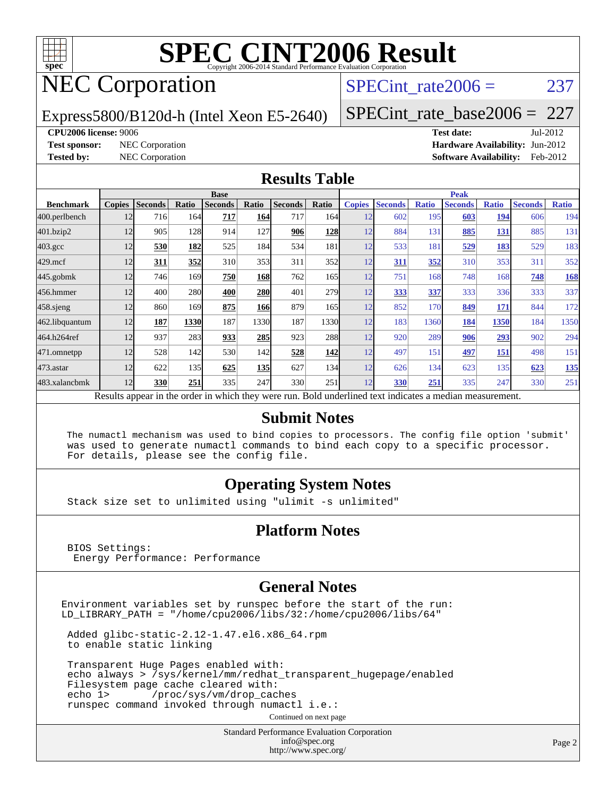

## NEC Corporation

#### SPECint rate $2006 = 237$

Express5800/B120d-h (Intel Xeon E5-2640)

[SPECint\\_rate\\_base2006 =](http://www.spec.org/auto/cpu2006/Docs/result-fields.html#SPECintratebase2006) 227

#### **[CPU2006 license:](http://www.spec.org/auto/cpu2006/Docs/result-fields.html#CPU2006license)** 9006 **[Test date:](http://www.spec.org/auto/cpu2006/Docs/result-fields.html#Testdate)** Jul-2012

**[Test sponsor:](http://www.spec.org/auto/cpu2006/Docs/result-fields.html#Testsponsor)** NEC Corporation **[Hardware Availability:](http://www.spec.org/auto/cpu2006/Docs/result-fields.html#HardwareAvailability)** Jun-2012 **[Tested by:](http://www.spec.org/auto/cpu2006/Docs/result-fields.html#Testedby)** NEC Corporation **[Software Availability:](http://www.spec.org/auto/cpu2006/Docs/result-fields.html#SoftwareAvailability)** Feb-2012

#### **[Results Table](http://www.spec.org/auto/cpu2006/Docs/result-fields.html#ResultsTable)**

|                                                                                                          | <b>Base</b>   |                |       |                |            |                |                  | <b>Peak</b>   |                |              |                |              |                |              |
|----------------------------------------------------------------------------------------------------------|---------------|----------------|-------|----------------|------------|----------------|------------------|---------------|----------------|--------------|----------------|--------------|----------------|--------------|
| <b>Benchmark</b>                                                                                         | <b>Copies</b> | <b>Seconds</b> | Ratio | <b>Seconds</b> | Ratio      | <b>Seconds</b> | Ratio            | <b>Copies</b> | <b>Seconds</b> | <b>Ratio</b> | <b>Seconds</b> | <b>Ratio</b> | <b>Seconds</b> | <b>Ratio</b> |
| 400.perlbench                                                                                            | 12            | 716            | 164   | 717            | 164        | 717            | 164I             | 12            | 602            | 195          | 603            | 194          | 606            | 194          |
| 401.bzip2                                                                                                | 12            | 905            | 128   | 914            | 127        | 906            | <u>128</u>       | 12            | 884            | 131          | 885            | <u>131</u>   | 885            | 131          |
| $403.\mathrm{gcc}$                                                                                       | 12            | 530            | 182   | 525            | 184        | 534            | 181              | 12            | 533            | 181          | 529            | 183          | 529            | 183          |
| $429$ .mcf                                                                                               | 12            | 311            | 352   | 310            | 353        | 311            | 352              | 12            | 311            | 352          | 310            | 353          | 311            | 352          |
| $445$ .gobmk                                                                                             | 12            | 746            | 169   | 750            | 168        | 762            | 165              | 12            | 751            | 168          | 748            | 168          | 748            | <b>168</b>   |
| 456.hmmer                                                                                                | 12            | 400            | 280   | 400            | 280        | 401            | 279 <sub>1</sub> | 12            | 333            | 337          | 333            | 336          | 333            | 337          |
| $458$ .sjeng                                                                                             | 12            | 860            | 169   | 875            | <b>166</b> | 879            | 165              | 12            | 852            | 170          | 849            | 171          | 844            | 172          |
| 462.libquantum                                                                                           | 12            | 187            | 1330  | 187            | 1330       | 187            | 1330             | 12            | 183            | 1360         | 184            | 1350         | 184            | 1350         |
| 464.h264ref                                                                                              | 12            | 937            | 283   | 933            | 285        | 923            | 288              | 12            | 920            | 289          | 906            | <u>293</u>   | 902            | 294          |
| 471.omnetpp                                                                                              | 12            | 528            | 142   | 530            | 142        | 528            | <b>142</b>       | 12            | 497            | 151          | 497            | 151          | 498            | 151          |
| $473$ . astar                                                                                            | 12            | 622            | 135   | 625            | <b>135</b> | 627            | 134              | 12            | 626            | 134          | 623            | 135          | 623            | 135          |
| 483.xalancbmk                                                                                            | 12            | 330            | 251   | 335            | 247        | 330            | 251              | 12            | 330            | 251          | 335            | 247          | 330            | 251          |
| Results appear in the order in which they were run. Bold underlined text indicates a median measurement. |               |                |       |                |            |                |                  |               |                |              |                |              |                |              |

#### **[Submit Notes](http://www.spec.org/auto/cpu2006/Docs/result-fields.html#SubmitNotes)**

 The numactl mechanism was used to bind copies to processors. The config file option 'submit' was used to generate numactl commands to bind each copy to a specific processor. For details, please see the config file.

#### **[Operating System Notes](http://www.spec.org/auto/cpu2006/Docs/result-fields.html#OperatingSystemNotes)**

Stack size set to unlimited using "ulimit -s unlimited"

#### **[Platform Notes](http://www.spec.org/auto/cpu2006/Docs/result-fields.html#PlatformNotes)**

 BIOS Settings: Energy Performance: Performance

#### **[General Notes](http://www.spec.org/auto/cpu2006/Docs/result-fields.html#GeneralNotes)**

Environment variables set by runspec before the start of the run: LD\_LIBRARY\_PATH = "/home/cpu2006/libs/32:/home/cpu2006/libs/64"

 Added glibc-static-2.12-1.47.el6.x86\_64.rpm to enable static linking

 Transparent Huge Pages enabled with: echo always > /sys/kernel/mm/redhat\_transparent\_hugepage/enabled Filesystem page cache cleared with: echo 1> /proc/sys/vm/drop\_caches runspec command invoked through numactl i.e.:

Continued on next page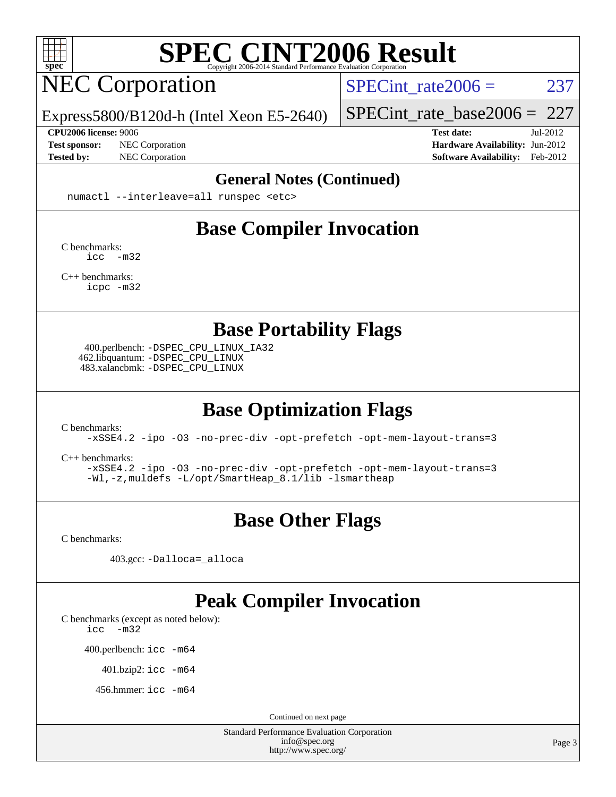

## NEC Corporation

SPECint rate $2006 = 237$ 

Express5800/B120d-h (Intel Xeon E5-2640)

**[CPU2006 license:](http://www.spec.org/auto/cpu2006/Docs/result-fields.html#CPU2006license)** 9006 **[Test date:](http://www.spec.org/auto/cpu2006/Docs/result-fields.html#Testdate)** Jul-2012

[SPECint\\_rate\\_base2006 =](http://www.spec.org/auto/cpu2006/Docs/result-fields.html#SPECintratebase2006) 227

**[Test sponsor:](http://www.spec.org/auto/cpu2006/Docs/result-fields.html#Testsponsor)** NEC Corporation **NEC Corporation [Hardware Availability:](http://www.spec.org/auto/cpu2006/Docs/result-fields.html#HardwareAvailability)** Jun-2012 **[Tested by:](http://www.spec.org/auto/cpu2006/Docs/result-fields.html#Testedby)** NEC Corporation **[Software Availability:](http://www.spec.org/auto/cpu2006/Docs/result-fields.html#SoftwareAvailability)** Feb-2012

#### **[General Notes \(Continued\)](http://www.spec.org/auto/cpu2006/Docs/result-fields.html#GeneralNotes)**

numactl --interleave=all runspec <etc>

## **[Base Compiler Invocation](http://www.spec.org/auto/cpu2006/Docs/result-fields.html#BaseCompilerInvocation)**

[C benchmarks](http://www.spec.org/auto/cpu2006/Docs/result-fields.html#Cbenchmarks): [icc -m32](http://www.spec.org/cpu2006/results/res2012q3/cpu2006-20120802-24028.flags.html#user_CCbase_intel_icc_5ff4a39e364c98233615fdd38438c6f2)

[C++ benchmarks:](http://www.spec.org/auto/cpu2006/Docs/result-fields.html#CXXbenchmarks) [icpc -m32](http://www.spec.org/cpu2006/results/res2012q3/cpu2006-20120802-24028.flags.html#user_CXXbase_intel_icpc_4e5a5ef1a53fd332b3c49e69c3330699)

**[Base Portability Flags](http://www.spec.org/auto/cpu2006/Docs/result-fields.html#BasePortabilityFlags)**

 400.perlbench: [-DSPEC\\_CPU\\_LINUX\\_IA32](http://www.spec.org/cpu2006/results/res2012q3/cpu2006-20120802-24028.flags.html#b400.perlbench_baseCPORTABILITY_DSPEC_CPU_LINUX_IA32) 462.libquantum: [-DSPEC\\_CPU\\_LINUX](http://www.spec.org/cpu2006/results/res2012q3/cpu2006-20120802-24028.flags.html#b462.libquantum_baseCPORTABILITY_DSPEC_CPU_LINUX) 483.xalancbmk: [-DSPEC\\_CPU\\_LINUX](http://www.spec.org/cpu2006/results/res2012q3/cpu2006-20120802-24028.flags.html#b483.xalancbmk_baseCXXPORTABILITY_DSPEC_CPU_LINUX)

## **[Base Optimization Flags](http://www.spec.org/auto/cpu2006/Docs/result-fields.html#BaseOptimizationFlags)**

[C benchmarks](http://www.spec.org/auto/cpu2006/Docs/result-fields.html#Cbenchmarks):

[-xSSE4.2](http://www.spec.org/cpu2006/results/res2012q3/cpu2006-20120802-24028.flags.html#user_CCbase_f-xSSE42_f91528193cf0b216347adb8b939d4107) [-ipo](http://www.spec.org/cpu2006/results/res2012q3/cpu2006-20120802-24028.flags.html#user_CCbase_f-ipo) [-O3](http://www.spec.org/cpu2006/results/res2012q3/cpu2006-20120802-24028.flags.html#user_CCbase_f-O3) [-no-prec-div](http://www.spec.org/cpu2006/results/res2012q3/cpu2006-20120802-24028.flags.html#user_CCbase_f-no-prec-div) [-opt-prefetch](http://www.spec.org/cpu2006/results/res2012q3/cpu2006-20120802-24028.flags.html#user_CCbase_f-opt-prefetch) [-opt-mem-layout-trans=3](http://www.spec.org/cpu2006/results/res2012q3/cpu2006-20120802-24028.flags.html#user_CCbase_f-opt-mem-layout-trans_a7b82ad4bd7abf52556d4961a2ae94d5)

[C++ benchmarks:](http://www.spec.org/auto/cpu2006/Docs/result-fields.html#CXXbenchmarks)

[-xSSE4.2](http://www.spec.org/cpu2006/results/res2012q3/cpu2006-20120802-24028.flags.html#user_CXXbase_f-xSSE42_f91528193cf0b216347adb8b939d4107) [-ipo](http://www.spec.org/cpu2006/results/res2012q3/cpu2006-20120802-24028.flags.html#user_CXXbase_f-ipo) [-O3](http://www.spec.org/cpu2006/results/res2012q3/cpu2006-20120802-24028.flags.html#user_CXXbase_f-O3) [-no-prec-div](http://www.spec.org/cpu2006/results/res2012q3/cpu2006-20120802-24028.flags.html#user_CXXbase_f-no-prec-div) [-opt-prefetch](http://www.spec.org/cpu2006/results/res2012q3/cpu2006-20120802-24028.flags.html#user_CXXbase_f-opt-prefetch) [-opt-mem-layout-trans=3](http://www.spec.org/cpu2006/results/res2012q3/cpu2006-20120802-24028.flags.html#user_CXXbase_f-opt-mem-layout-trans_a7b82ad4bd7abf52556d4961a2ae94d5) [-Wl,-z,muldefs](http://www.spec.org/cpu2006/results/res2012q3/cpu2006-20120802-24028.flags.html#user_CXXbase_link_force_multiple1_74079c344b956b9658436fd1b6dd3a8a) [-L/opt/SmartHeap\\_8.1/lib -lsmartheap](http://www.spec.org/cpu2006/results/res2012q3/cpu2006-20120802-24028.flags.html#user_CXXbase_SmartHeap_d5ba4dfc9de25d3c657c7de7476e66c5)

## **[Base Other Flags](http://www.spec.org/auto/cpu2006/Docs/result-fields.html#BaseOtherFlags)**

[C benchmarks](http://www.spec.org/auto/cpu2006/Docs/result-fields.html#Cbenchmarks):

403.gcc: [-Dalloca=\\_alloca](http://www.spec.org/cpu2006/results/res2012q3/cpu2006-20120802-24028.flags.html#b403.gcc_baseEXTRA_CFLAGS_Dalloca_be3056838c12de2578596ca5467af7f3)

#### **[Peak Compiler Invocation](http://www.spec.org/auto/cpu2006/Docs/result-fields.html#PeakCompilerInvocation)**

[C benchmarks \(except as noted below\)](http://www.spec.org/auto/cpu2006/Docs/result-fields.html#Cbenchmarksexceptasnotedbelow):

[icc -m32](http://www.spec.org/cpu2006/results/res2012q3/cpu2006-20120802-24028.flags.html#user_CCpeak_intel_icc_5ff4a39e364c98233615fdd38438c6f2)

400.perlbench: [icc -m64](http://www.spec.org/cpu2006/results/res2012q3/cpu2006-20120802-24028.flags.html#user_peakCCLD400_perlbench_intel_icc_64bit_bda6cc9af1fdbb0edc3795bac97ada53)

401.bzip2: [icc -m64](http://www.spec.org/cpu2006/results/res2012q3/cpu2006-20120802-24028.flags.html#user_peakCCLD401_bzip2_intel_icc_64bit_bda6cc9af1fdbb0edc3795bac97ada53)

456.hmmer: [icc -m64](http://www.spec.org/cpu2006/results/res2012q3/cpu2006-20120802-24028.flags.html#user_peakCCLD456_hmmer_intel_icc_64bit_bda6cc9af1fdbb0edc3795bac97ada53)

Continued on next page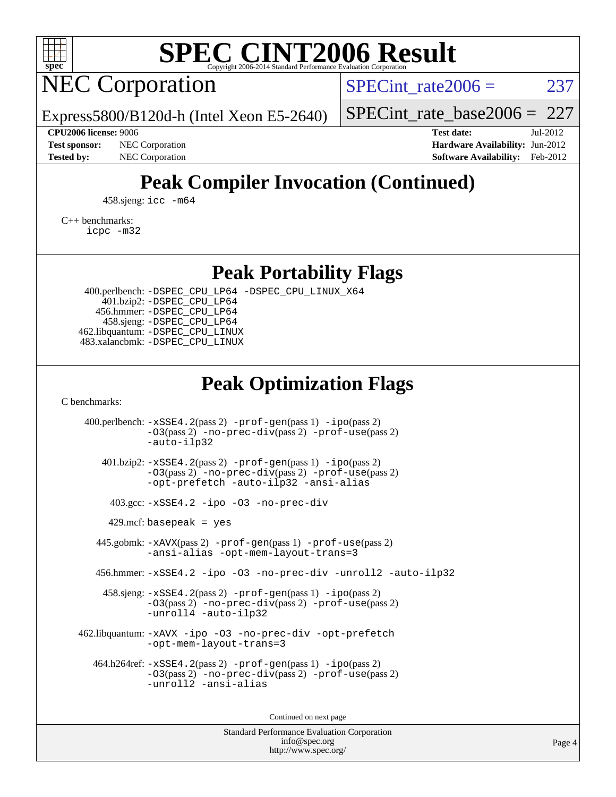

## NEC Corporation

SPECint rate $2006 = 237$ 

Express5800/B120d-h (Intel Xeon E5-2640)

[SPECint\\_rate\\_base2006 =](http://www.spec.org/auto/cpu2006/Docs/result-fields.html#SPECintratebase2006) 227

**[CPU2006 license:](http://www.spec.org/auto/cpu2006/Docs/result-fields.html#CPU2006license)** 9006 **[Test date:](http://www.spec.org/auto/cpu2006/Docs/result-fields.html#Testdate)** Jul-2012 **[Test sponsor:](http://www.spec.org/auto/cpu2006/Docs/result-fields.html#Testsponsor)** NEC Corporation **NEC Corporation [Hardware Availability:](http://www.spec.org/auto/cpu2006/Docs/result-fields.html#HardwareAvailability)** Jun-2012 **[Tested by:](http://www.spec.org/auto/cpu2006/Docs/result-fields.html#Testedby)** NEC Corporation **[Software Availability:](http://www.spec.org/auto/cpu2006/Docs/result-fields.html#SoftwareAvailability)** Feb-2012

## **[Peak Compiler Invocation \(Continued\)](http://www.spec.org/auto/cpu2006/Docs/result-fields.html#PeakCompilerInvocation)**

458.sjeng: [icc -m64](http://www.spec.org/cpu2006/results/res2012q3/cpu2006-20120802-24028.flags.html#user_peakCCLD458_sjeng_intel_icc_64bit_bda6cc9af1fdbb0edc3795bac97ada53)

[C++ benchmarks:](http://www.spec.org/auto/cpu2006/Docs/result-fields.html#CXXbenchmarks) [icpc -m32](http://www.spec.org/cpu2006/results/res2012q3/cpu2006-20120802-24028.flags.html#user_CXXpeak_intel_icpc_4e5a5ef1a53fd332b3c49e69c3330699)

**[Peak Portability Flags](http://www.spec.org/auto/cpu2006/Docs/result-fields.html#PeakPortabilityFlags)**

 400.perlbench: [-DSPEC\\_CPU\\_LP64](http://www.spec.org/cpu2006/results/res2012q3/cpu2006-20120802-24028.flags.html#b400.perlbench_peakCPORTABILITY_DSPEC_CPU_LP64) [-DSPEC\\_CPU\\_LINUX\\_X64](http://www.spec.org/cpu2006/results/res2012q3/cpu2006-20120802-24028.flags.html#b400.perlbench_peakCPORTABILITY_DSPEC_CPU_LINUX_X64) 401.bzip2: [-DSPEC\\_CPU\\_LP64](http://www.spec.org/cpu2006/results/res2012q3/cpu2006-20120802-24028.flags.html#suite_peakCPORTABILITY401_bzip2_DSPEC_CPU_LP64) 456.hmmer: [-DSPEC\\_CPU\\_LP64](http://www.spec.org/cpu2006/results/res2012q3/cpu2006-20120802-24028.flags.html#suite_peakCPORTABILITY456_hmmer_DSPEC_CPU_LP64) 458.sjeng: [-DSPEC\\_CPU\\_LP64](http://www.spec.org/cpu2006/results/res2012q3/cpu2006-20120802-24028.flags.html#suite_peakCPORTABILITY458_sjeng_DSPEC_CPU_LP64) 462.libquantum: [-DSPEC\\_CPU\\_LINUX](http://www.spec.org/cpu2006/results/res2012q3/cpu2006-20120802-24028.flags.html#b462.libquantum_peakCPORTABILITY_DSPEC_CPU_LINUX) 483.xalancbmk: [-DSPEC\\_CPU\\_LINUX](http://www.spec.org/cpu2006/results/res2012q3/cpu2006-20120802-24028.flags.html#b483.xalancbmk_peakCXXPORTABILITY_DSPEC_CPU_LINUX)

### **[Peak Optimization Flags](http://www.spec.org/auto/cpu2006/Docs/result-fields.html#PeakOptimizationFlags)**

[C benchmarks](http://www.spec.org/auto/cpu2006/Docs/result-fields.html#Cbenchmarks):

 400.perlbench: [-xSSE4.2](http://www.spec.org/cpu2006/results/res2012q3/cpu2006-20120802-24028.flags.html#user_peakPASS2_CFLAGSPASS2_LDCFLAGS400_perlbench_f-xSSE42_f91528193cf0b216347adb8b939d4107)(pass 2) [-prof-gen](http://www.spec.org/cpu2006/results/res2012q3/cpu2006-20120802-24028.flags.html#user_peakPASS1_CFLAGSPASS1_LDCFLAGS400_perlbench_prof_gen_e43856698f6ca7b7e442dfd80e94a8fc)(pass 1) [-ipo](http://www.spec.org/cpu2006/results/res2012q3/cpu2006-20120802-24028.flags.html#user_peakPASS2_CFLAGSPASS2_LDCFLAGS400_perlbench_f-ipo)(pass 2) [-O3](http://www.spec.org/cpu2006/results/res2012q3/cpu2006-20120802-24028.flags.html#user_peakPASS2_CFLAGSPASS2_LDCFLAGS400_perlbench_f-O3)(pass 2) [-no-prec-div](http://www.spec.org/cpu2006/results/res2012q3/cpu2006-20120802-24028.flags.html#user_peakPASS2_CFLAGSPASS2_LDCFLAGS400_perlbench_f-no-prec-div)(pass 2) [-prof-use](http://www.spec.org/cpu2006/results/res2012q3/cpu2006-20120802-24028.flags.html#user_peakPASS2_CFLAGSPASS2_LDCFLAGS400_perlbench_prof_use_bccf7792157ff70d64e32fe3e1250b55)(pass 2) [-auto-ilp32](http://www.spec.org/cpu2006/results/res2012q3/cpu2006-20120802-24028.flags.html#user_peakCOPTIMIZE400_perlbench_f-auto-ilp32) 401.bzip2: [-xSSE4.2](http://www.spec.org/cpu2006/results/res2012q3/cpu2006-20120802-24028.flags.html#user_peakPASS2_CFLAGSPASS2_LDCFLAGS401_bzip2_f-xSSE42_f91528193cf0b216347adb8b939d4107)(pass 2) [-prof-gen](http://www.spec.org/cpu2006/results/res2012q3/cpu2006-20120802-24028.flags.html#user_peakPASS1_CFLAGSPASS1_LDCFLAGS401_bzip2_prof_gen_e43856698f6ca7b7e442dfd80e94a8fc)(pass 1) [-ipo](http://www.spec.org/cpu2006/results/res2012q3/cpu2006-20120802-24028.flags.html#user_peakPASS2_CFLAGSPASS2_LDCFLAGS401_bzip2_f-ipo)(pass 2) [-O3](http://www.spec.org/cpu2006/results/res2012q3/cpu2006-20120802-24028.flags.html#user_peakPASS2_CFLAGSPASS2_LDCFLAGS401_bzip2_f-O3)(pass 2) [-no-prec-div](http://www.spec.org/cpu2006/results/res2012q3/cpu2006-20120802-24028.flags.html#user_peakPASS2_CFLAGSPASS2_LDCFLAGS401_bzip2_f-no-prec-div)(pass 2) [-prof-use](http://www.spec.org/cpu2006/results/res2012q3/cpu2006-20120802-24028.flags.html#user_peakPASS2_CFLAGSPASS2_LDCFLAGS401_bzip2_prof_use_bccf7792157ff70d64e32fe3e1250b55)(pass 2) [-opt-prefetch](http://www.spec.org/cpu2006/results/res2012q3/cpu2006-20120802-24028.flags.html#user_peakCOPTIMIZE401_bzip2_f-opt-prefetch) [-auto-ilp32](http://www.spec.org/cpu2006/results/res2012q3/cpu2006-20120802-24028.flags.html#user_peakCOPTIMIZE401_bzip2_f-auto-ilp32) [-ansi-alias](http://www.spec.org/cpu2006/results/res2012q3/cpu2006-20120802-24028.flags.html#user_peakCOPTIMIZE401_bzip2_f-ansi-alias) 403.gcc: [-xSSE4.2](http://www.spec.org/cpu2006/results/res2012q3/cpu2006-20120802-24028.flags.html#user_peakCOPTIMIZE403_gcc_f-xSSE42_f91528193cf0b216347adb8b939d4107) [-ipo](http://www.spec.org/cpu2006/results/res2012q3/cpu2006-20120802-24028.flags.html#user_peakCOPTIMIZE403_gcc_f-ipo) [-O3](http://www.spec.org/cpu2006/results/res2012q3/cpu2006-20120802-24028.flags.html#user_peakCOPTIMIZE403_gcc_f-O3) [-no-prec-div](http://www.spec.org/cpu2006/results/res2012q3/cpu2006-20120802-24028.flags.html#user_peakCOPTIMIZE403_gcc_f-no-prec-div)  $429$ .mcf: basepeak = yes 445.gobmk: [-xAVX](http://www.spec.org/cpu2006/results/res2012q3/cpu2006-20120802-24028.flags.html#user_peakPASS2_CFLAGSPASS2_LDCFLAGS445_gobmk_f-xAVX)(pass 2) [-prof-gen](http://www.spec.org/cpu2006/results/res2012q3/cpu2006-20120802-24028.flags.html#user_peakPASS1_CFLAGSPASS1_LDCFLAGS445_gobmk_prof_gen_e43856698f6ca7b7e442dfd80e94a8fc)(pass 1) [-prof-use](http://www.spec.org/cpu2006/results/res2012q3/cpu2006-20120802-24028.flags.html#user_peakPASS2_CFLAGSPASS2_LDCFLAGS445_gobmk_prof_use_bccf7792157ff70d64e32fe3e1250b55)(pass 2) [-ansi-alias](http://www.spec.org/cpu2006/results/res2012q3/cpu2006-20120802-24028.flags.html#user_peakCOPTIMIZE445_gobmk_f-ansi-alias) [-opt-mem-layout-trans=3](http://www.spec.org/cpu2006/results/res2012q3/cpu2006-20120802-24028.flags.html#user_peakCOPTIMIZE445_gobmk_f-opt-mem-layout-trans_a7b82ad4bd7abf52556d4961a2ae94d5) 456.hmmer: [-xSSE4.2](http://www.spec.org/cpu2006/results/res2012q3/cpu2006-20120802-24028.flags.html#user_peakCOPTIMIZE456_hmmer_f-xSSE42_f91528193cf0b216347adb8b939d4107) [-ipo](http://www.spec.org/cpu2006/results/res2012q3/cpu2006-20120802-24028.flags.html#user_peakCOPTIMIZE456_hmmer_f-ipo) [-O3](http://www.spec.org/cpu2006/results/res2012q3/cpu2006-20120802-24028.flags.html#user_peakCOPTIMIZE456_hmmer_f-O3) [-no-prec-div](http://www.spec.org/cpu2006/results/res2012q3/cpu2006-20120802-24028.flags.html#user_peakCOPTIMIZE456_hmmer_f-no-prec-div) [-unroll2](http://www.spec.org/cpu2006/results/res2012q3/cpu2006-20120802-24028.flags.html#user_peakCOPTIMIZE456_hmmer_f-unroll_784dae83bebfb236979b41d2422d7ec2) [-auto-ilp32](http://www.spec.org/cpu2006/results/res2012q3/cpu2006-20120802-24028.flags.html#user_peakCOPTIMIZE456_hmmer_f-auto-ilp32) 458.sjeng: [-xSSE4.2](http://www.spec.org/cpu2006/results/res2012q3/cpu2006-20120802-24028.flags.html#user_peakPASS2_CFLAGSPASS2_LDCFLAGS458_sjeng_f-xSSE42_f91528193cf0b216347adb8b939d4107)(pass 2) [-prof-gen](http://www.spec.org/cpu2006/results/res2012q3/cpu2006-20120802-24028.flags.html#user_peakPASS1_CFLAGSPASS1_LDCFLAGS458_sjeng_prof_gen_e43856698f6ca7b7e442dfd80e94a8fc)(pass 1) [-ipo](http://www.spec.org/cpu2006/results/res2012q3/cpu2006-20120802-24028.flags.html#user_peakPASS2_CFLAGSPASS2_LDCFLAGS458_sjeng_f-ipo)(pass 2) [-O3](http://www.spec.org/cpu2006/results/res2012q3/cpu2006-20120802-24028.flags.html#user_peakPASS2_CFLAGSPASS2_LDCFLAGS458_sjeng_f-O3)(pass 2) [-no-prec-div](http://www.spec.org/cpu2006/results/res2012q3/cpu2006-20120802-24028.flags.html#user_peakPASS2_CFLAGSPASS2_LDCFLAGS458_sjeng_f-no-prec-div)(pass 2) [-prof-use](http://www.spec.org/cpu2006/results/res2012q3/cpu2006-20120802-24028.flags.html#user_peakPASS2_CFLAGSPASS2_LDCFLAGS458_sjeng_prof_use_bccf7792157ff70d64e32fe3e1250b55)(pass 2) [-unroll4](http://www.spec.org/cpu2006/results/res2012q3/cpu2006-20120802-24028.flags.html#user_peakCOPTIMIZE458_sjeng_f-unroll_4e5e4ed65b7fd20bdcd365bec371b81f) [-auto-ilp32](http://www.spec.org/cpu2006/results/res2012q3/cpu2006-20120802-24028.flags.html#user_peakCOPTIMIZE458_sjeng_f-auto-ilp32) 462.libquantum: [-xAVX](http://www.spec.org/cpu2006/results/res2012q3/cpu2006-20120802-24028.flags.html#user_peakCOPTIMIZE462_libquantum_f-xAVX) [-ipo](http://www.spec.org/cpu2006/results/res2012q3/cpu2006-20120802-24028.flags.html#user_peakCOPTIMIZE462_libquantum_f-ipo) [-O3](http://www.spec.org/cpu2006/results/res2012q3/cpu2006-20120802-24028.flags.html#user_peakCOPTIMIZE462_libquantum_f-O3) [-no-prec-div](http://www.spec.org/cpu2006/results/res2012q3/cpu2006-20120802-24028.flags.html#user_peakCOPTIMIZE462_libquantum_f-no-prec-div) [-opt-prefetch](http://www.spec.org/cpu2006/results/res2012q3/cpu2006-20120802-24028.flags.html#user_peakCOPTIMIZE462_libquantum_f-opt-prefetch) [-opt-mem-layout-trans=3](http://www.spec.org/cpu2006/results/res2012q3/cpu2006-20120802-24028.flags.html#user_peakCOPTIMIZE462_libquantum_f-opt-mem-layout-trans_a7b82ad4bd7abf52556d4961a2ae94d5) 464.h264ref: [-xSSE4.2](http://www.spec.org/cpu2006/results/res2012q3/cpu2006-20120802-24028.flags.html#user_peakPASS2_CFLAGSPASS2_LDCFLAGS464_h264ref_f-xSSE42_f91528193cf0b216347adb8b939d4107)(pass 2) [-prof-gen](http://www.spec.org/cpu2006/results/res2012q3/cpu2006-20120802-24028.flags.html#user_peakPASS1_CFLAGSPASS1_LDCFLAGS464_h264ref_prof_gen_e43856698f6ca7b7e442dfd80e94a8fc)(pass 1) [-ipo](http://www.spec.org/cpu2006/results/res2012q3/cpu2006-20120802-24028.flags.html#user_peakPASS2_CFLAGSPASS2_LDCFLAGS464_h264ref_f-ipo)(pass 2) [-O3](http://www.spec.org/cpu2006/results/res2012q3/cpu2006-20120802-24028.flags.html#user_peakPASS2_CFLAGSPASS2_LDCFLAGS464_h264ref_f-O3)(pass 2) [-no-prec-div](http://www.spec.org/cpu2006/results/res2012q3/cpu2006-20120802-24028.flags.html#user_peakPASS2_CFLAGSPASS2_LDCFLAGS464_h264ref_f-no-prec-div)(pass 2) [-prof-use](http://www.spec.org/cpu2006/results/res2012q3/cpu2006-20120802-24028.flags.html#user_peakPASS2_CFLAGSPASS2_LDCFLAGS464_h264ref_prof_use_bccf7792157ff70d64e32fe3e1250b55)(pass 2) [-unroll2](http://www.spec.org/cpu2006/results/res2012q3/cpu2006-20120802-24028.flags.html#user_peakCOPTIMIZE464_h264ref_f-unroll_784dae83bebfb236979b41d2422d7ec2) [-ansi-alias](http://www.spec.org/cpu2006/results/res2012q3/cpu2006-20120802-24028.flags.html#user_peakCOPTIMIZE464_h264ref_f-ansi-alias)

Continued on next page